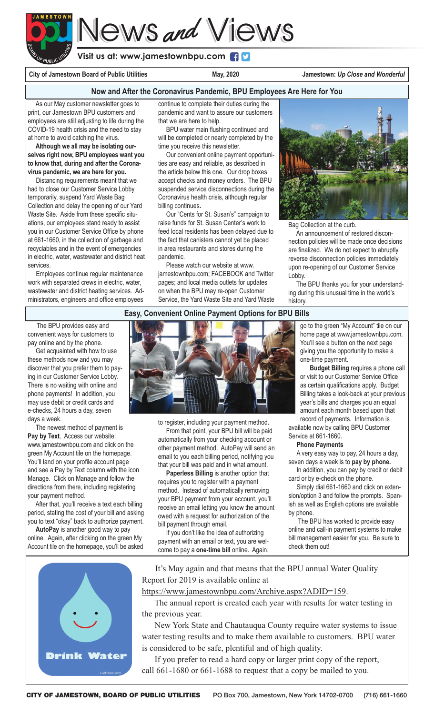

**Visit us at: www.jamestownbpu.com**

City of Jamestown Board of Public Utilities **May, 2020** Jamestown: Up Close and Wonderful

#### **Now and After the Coronavirus Pandemic, BPU Employees Are Here for You**

 As our May customer newsletter goes to print, our Jamestown BPU customers and employees are still adjusting to life during the COVID-19 health crisis and the need to stay at home to avoid catching the virus.

 **Although we all may be isolating ourselves right now, BPU employees want you to know that, during and after the Coronavirus pandemic, we are here for you.**

 Distancing requirements meant that we had to close our Customer Service Lobby temporarily, suspend Yard Waste Bag Collection and delay the opening of our Yard Waste Site. Aside from these specific situations, our employees stand ready to assist you in our Customer Service Office by phone at 661-1660, in the collection of garbage and recyclables and in the event of emergencies in electric, water, wastewater and district heat services.

 Employees continue regular maintenance work with separated crews in electric, water, wastewater and district heating services. Administrators, engineers and office employees

continue to complete their duties during the pandemic and want to assure our customers that we are here to help.

 BPU water main flushing continued and will be completed or nearly completed by the time you receive this newsletter.

 Our convenient online payment opportunities are easy and reliable, as described in the article below this one. Our drop boxes accept checks and money orders. The BPU suspended service disconnections during the Coronavirus health crisis, although regular billing continues**.** 

 Our "Cents for St. Susan's" campaign to raise funds for St. Susan Center's work to feed local residents has been delayed due to the fact that canisters cannot yet be placed in area restaurants and stores during the pandemic.

 Please watch our website at www. jamestownbpu.com; FACEBOOK and Twitter pages; and local media outlets for updates on when the BPU may re-open Customer Service, the Yard Waste Site and Yard Waste



Bag Collection at the curb.

 An announcement of restored disconnection policies will be made once decisions are finalized. We do not expect to abruptly reverse disconnection policies immediately upon re-opening of our Customer Service Lobby.

 The BPU thanks you for your understanding during this unusual time in the world's history.

#### **Easy, Convenient Online Payment Options for BPU Bills**

 The BPU provides easy and convenient ways for customers to pay online and by the phone.

 Get acquainted with how to use these methods now and you may discover that you prefer them to paying in our Customer Service Lobby. There is no waiting with online and phone payments! In addition, you may use debit or credit cards and e-checks, 24 hours a day, seven days a week.

 The newest method of payment is **Pay by Text**. Access our website: www.jamestownbpu.com and click on the green My Account tile on the homepage. You'll land on your profile account page and see a Pay by Text column with the icon Manage. Click on Manage and follow the directions from there, including registering your payment method.

 After that, you'll receive a text each billing period, stating the cost of your bill and asking you to text "okay" back to authorize payment.

 **AutoPay** is another good way to pay online. Again, after clicking on the green My Account tile on the homepage, you'll be asked



to register, including your payment method.

 From that point, your BPU bill will be paid automatically from your checking account or other payment method. AutoPay will send an email to you each billing period, notifying you that your bill was paid and in what amount.

 **Paperless Billing** is another option that requires you to register with a payment method. Instead of automatically removing your BPU payment from your account, you'll receive an email letting you know the amount owed with a request for authorization of the bill payment through email.

 If you don't like the idea of authorizing payment with an email or text, you are welcome to pay a **one-time bill** online. Again, go to the green "My Account" tile on our home page at www.jamestownbpu.com. You'll see a button on the next page giving you the opportunity to make a one-time payment.

 **Budget Billing** requires a phone call or visit to our Customer Service Office as certain qualifications apply. Budget Billing takes a look-back at your previous year's bills and charges you an equal amount each month based upon that record of payments. Information is

available now by calling BPU Customer Service at 661-1660.

#### **Phone Payments**

A very easy way to pay, 24 hours a day, seven days a week is to **pay by phone.** In addition, you can pay by credit or debit

card or by e-check on the phone.

 Simply dial 661-1660 and click on extension/option 3 and follow the prompts. Spanish as well as English options are available by phone.

 The BPU has worked to provide easy online and call-in payment systems to make bill management easier for you. Be sure to check them out!

 It's May again and that means that the BPU annual Water Quality Report for 2019 is available online at

#### https://www.jamestownbpu.com/Archive.aspx?ADID=159.

 The annual report is created each year with results for water testing in the previous year.

 New York State and Chautauqua County require water systems to issue water testing results and to make them available to customers. BPU water is considered to be safe, plentiful and of high quality.

 If you prefer to read a hard copy or larger print copy of the report, call 661-1680 or 661-1688 to request that a copy be mailed to you.